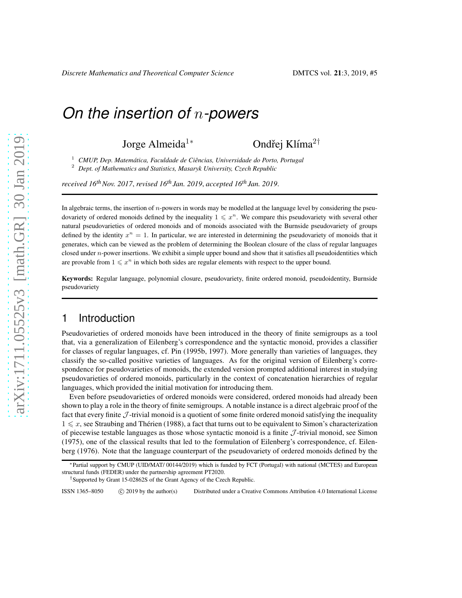Jorge Almeida<sup>1∗</sup> Ondřej Klíma<sup>2†</sup>

<sup>1</sup> CMUP, Dep. Matemática, Faculdade de Ciências, Universidade do Porto, Portugal <sup>2</sup> *Dept. of Mathematics and Statistics, Masaryk University, Czech Republic*

*received 16thNov. 2017*, *revised 16th Jan. 2019*, *accepted 16th Jan. 2019*.

In algebraic terms, the insertion of n-powers in words may be modelled at the language level by considering the pseudovariety of ordered monoids defined by the inequality  $1 \leq x^n$ . We compare this pseudovariety with several other natural pseudovarieties of ordered monoids and of monoids associated with the Burnside pseudovariety of groups defined by the identity  $x^n = 1$ . In particular, we are interested in determining the pseudovariety of monoids that it generates, which can be viewed as the problem of determining the Boolean closure of the class of regular languages closed under n-power insertions. We exhibit a simple upper bound and show that it satisfies all pseudoidentities which are provable from  $1 \leq x^n$  in which both sides are regular elements with respect to the upper bound.

Keywords: Regular language, polynomial closure, pseudovariety, finite ordered monoid, pseudoidentity, Burnside pseudovariety

### 1 Introduction

Pseudovarieties of ordered monoids have been introduced in the theory of finite semigroups as a tool that, via a generalization of Eilenberg's correspondence and the syntactic monoid, provides a classifier for classes of regular languages, cf. Pin (1995b, 1997). More generally than varieties of languages, they classify the so-called positive varieties of languages. As for the original version of Eilenberg's correspondence for pseudovarieties of monoids, the extended version prompted additional interest in studying pseudovarieties of ordered monoids, particularly in the context of concatenation hierarchies of regular languages, which provided the initial motivation for introducing them.

Even before pseudovarieties of ordered monoids were considered, ordered monoids had already been shown to play a role in the theory of finite semigroups. A notable instance is a direct algebraic proof of the fact that every finite  $J$ -trivial monoid is a quotient of some finite ordered monoid satisfying the inequality  $1 \leq x$ , see Straubing and Thérien (1988), a fact that turns out to be equivalent to Simon's characterization of piecewise testable languages as those whose syntactic monoid is a finite  $J$ -trivial monoid, see Simon (1975), one of the classical results that led to the formulation of Eilenberg's correspondence, cf. Eilenberg (1976). Note that the language counterpart of the pseudovariety of ordered monoids defined by the

ISSN 1365–8050 (C) 2019 by the author(s) Distributed under a Creative Commons Attribution 4.0 International License

<sup>∗</sup>Partial support by CMUP (UID/MAT/ 00144/2019) which is funded by FCT (Portugal) with national (MCTES) and European structural funds (FEDER) under the partnership agreement PT2020.

<sup>†</sup>Supported by Grant 15-02862S of the Grant Agency of the Czech Republic.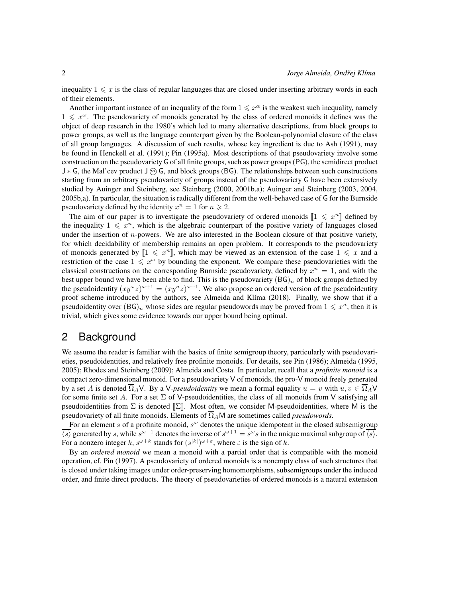inequality  $1 \leq x$  is the class of regular languages that are closed under inserting arbitrary words in each of their elements.

Another important instance of an inequality of the form  $1 \leq x^{\alpha}$  is the weakest such inequality, namely  $1 \leq x^{\omega}$ . The pseudovariety of monoids generated by the class of ordered monoids it defines was the object of deep research in the 1980's which led to many alternative descriptions, from block groups to power groups, as well as the language counterpart given by the Boolean-polynomial closure of the class of all group languages. A discussion of such results, whose key ingredient is due to Ash (1991), may be found in Henckell et al. (1991); Pin (1995a). Most descriptions of that pseudovariety involve some construction on the pseudovariety G of all finite groups, such as power groups (PG), the semidirect product J ∗ G, the Mal'cev product J <sup>m</sup> G, and block groups (BG). The relationships between such constructions starting from an arbitrary pseudovariety of groups instead of the pseudovariety G have been extensively studied by Auinger and Steinberg, see Steinberg (2000, 2001b,a); Auinger and Steinberg (2003, 2004, 2005b,a). In particular, the situation is radically different from the well-behaved case of G for the Burnside pseudovariety defined by the identity  $x^n = 1$  for  $n \ge 2$ .

The aim of our paper is to investigate the pseudovariety of ordered monoids  $\llbracket 1 \leq x^n \rrbracket$  defined by the inequality  $1 \leq x^n$ , which is the algebraic counterpart of the positive variety of languages closed under the insertion of  $n$ -powers. We are also interested in the Boolean closure of that positive variety, for which decidability of membership remains an open problem. It corresponds to the pseudovariety of monoids generated by  $[1 \leq x^n]$ , which may be viewed as an extension of the case  $1 \leq x$  and a restriction of the case  $1 \leq x^{\omega}$  by bounding the exponent. We compare these pseudovarieties with the classical constructions on the corresponding Burnside pseudovariety, defined by  $x^n = 1$ , and with the best upper bound we have been able to find. This is the pseudovariety  $(BG)<sub>n</sub>$  of block groups defined by the pseudoidentity  $(xy^{\omega}z)^{\omega+1} = (xy^nz)^{\omega+1}$ . We also propose an ordered version of the pseudoidentity proof scheme introduced by the authors, see Almeida and Klíma (2018). Finally, we show that if a pseudoidentity over  $(BG)_n$  whose sides are regular pseudowords may be proved from  $1 \leq x^n$ , then it is trivial, which gives some evidence towards our upper bound being optimal.

### 2 Background

We assume the reader is familiar with the basics of finite semigroup theory, particularly with pseudovarieties, pseudoidentities, and relatively free profinite monoids. For details, see Pin (1986); Almeida (1995, 2005); Rhodes and Steinberg (2009); Almeida and Costa. In particular, recall that a *profinite monoid* is a compact zero-dimensional monoid. For a pseudovariety V of monoids, the pro-V monoid freely generated by a set A is denoted  $\overline{\Omega}_A V$ . By a V-*pseudoidentity* we mean a formal equality  $u = v$  with  $u, v \in \overline{\Omega}_A V$ for some finite set A. For a set  $\Sigma$  of V-pseudoidentities, the class of all monoids from V satisfying all pseudoidentities from  $\Sigma$  is denoted  $[\Sigma]$ . Most often, we consider M-pseudoidentities, where M is the pseudovariety of all finite monoids. Elements of  $\overline{\Omega}_A M$  are sometimes called *pseudowords*.

For an element s of a profinite monoid,  $s^{\omega}$  denotes the unique idempotent in the closed subsemigroup  $\overline{\langle s \rangle}$  generated by s, while  $s^{\omega-1}$  denotes the inverse of  $s^{\omega+1} = s^{\omega} s$  in the unique maximal subgroup of  $\overline{\langle s \rangle}$ . For a nonzero integer k,  $s^{\omega+k}$  stands for  $(s^{|k|})^{\omega+\varepsilon}$ , where  $\varepsilon$  is the sign of k.

By an *ordered monoid* we mean a monoid with a partial order that is compatible with the monoid operation, cf. Pin (1997). A pseudovariety of ordered monoids is a nonempty class of such structures that is closed under taking images under order-preserving homomorphisms, subsemigroups under the induced order, and finite direct products. The theory of pseudovarieties of ordered monoids is a natural extension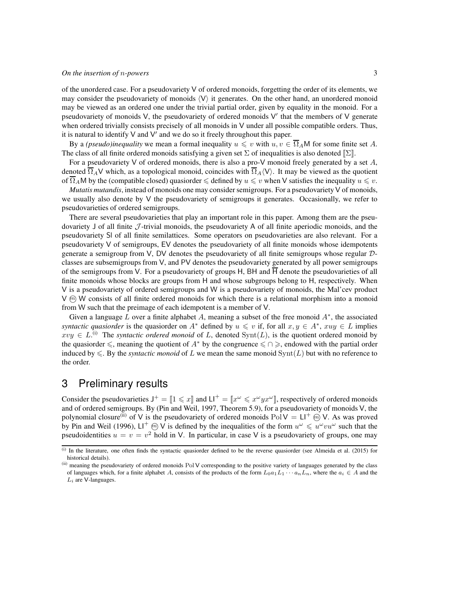of the unordered case. For a pseudovariety  $V$  of ordered monoids, forgetting the order of its elements, we may consider the pseudovariety of monoids  $\langle V \rangle$  it generates. On the other hand, an unordered monoid may be viewed as an ordered one under the trivial partial order, given by equality in the monoid. For a pseudovariety of monoids V, the pseudovariety of ordered monoids V' that the members of V generate when ordered trivially consists precisely of all monoids in V under all possible compatible orders. Thus, it is natural to identify V and V' and we do so it freely throughout this paper.

By a *(pseudo)inequality* we mean a formal inequality  $u \leq v$  with  $u, v \in \overline{\Omega}_A M$  for some finite set A. The class of all finite ordered monoids satisfying a given set  $\Sigma$  of inequalities is also denoted  $[\Sigma]$ .

For a pseudovariety V of ordered monoids, there is also a pro-V monoid freely generated by a set  $A$ , denoted  $\overline{\Omega}_A V$  which, as a topological monoid, coincides with  $\overline{\Omega}_A \langle V \rangle$ . It may be viewed as the quotient of  $\overline{\Omega}_A$ M by the (compatible closed) quasiorder  $\leq$  defined by  $u \leq v$  when V satisfies the inequality  $u \leq v$ .

*Mutatis mutandis*, instead of monoids one may consider semigroups. For a pseudovariety V of monoids, we usually also denote by V the pseudovariety of semigroups it generates. Occasionally, we refer to pseudovarieties of ordered semigroups.

There are several pseudovarieties that play an important role in this paper. Among them are the pseudovariety J of all finite  $\mathcal{J}$ -trivial monoids, the pseudovariety A of all finite aperiodic monoids, and the pseudovariety Sl of all finite semilattices. Some operators on pseudovarieties are also relevant. For a pseudovariety V of semigroups, EV denotes the pseudovariety of all finite monoids whose idempotents generate a semigroup from V, DV denotes the pseudovariety of all finite semigroups whose regular Dclasses are subsemigroups from V, and PV denotes the pseudovariety generated by all power semigroups of the semigroups from V. For a pseudovariety of groups H, BH and  $\overline{H}$  denote the pseudovarieties of all finite monoids whose blocks are groups from H and whose subgroups belong to H, respectively. When V is a pseudovariety of ordered semigroups and W is a pseudovariety of monoids, the Mal'cev product  $V$   $\omega$ ) W consists of all finite ordered monoids for which there is a relational morphism into a monoid from W such that the preimage of each idempotent is a member of V.

Given a language L over a finite alphabet A, meaning a subset of the free monoid  $A^*$ , the associated *syntactic quasiorder* is the quasiorder on  $A^*$  defined by  $u \leq v$  if, for all  $x, y \in A^*$ ,  $xuy \in L$  implies  $xvy \in L^{(i)}$  The *syntactic ordered monoid* of L, denoted Synt $(L)$ , is the quotient ordered monoid by the quasiorder  $\leq$ , meaning the quotient of  $A^*$  by the congruence  $\leq \cap \geq$ , endowed with the partial order induced by  $\leq$ . By the *syntactic monoid* of L we mean the same monoid Synt(L) but with no reference to the order.

### 3 Preliminary results

Consider the pseudovarieties  $J^+ = [1 \le x]$  and  $LI^+ = [x^\omega \le x^\omega y x^\omega]$ , respectively of ordered monoids and of ordered semigroups. By (Pin and Weil, 1997, Theorem 5.9), for a pseudovariety of monoids V, the polynomial closure<sup>(ii)</sup> of V is the pseudovariety of ordered monoids PolV =  $LI^{+}$  ( $\odot$  V. As was proved by Pin and Weil (1996),  $LI^+$   $\textcircled{v}$  V is defined by the inequalities of the form  $u^{\omega} \leq u^{\omega}vu^{\omega}$  such that the pseudoidentities  $u = v = v^2$  hold in V. In particular, in case V is a pseudovariety of groups, one may

<sup>(</sup>i) In the literature, one often finds the syntactic quasiorder defined to be the reverse quasiorder (see Almeida et al. (2015) for historical details).

<sup>(</sup>ii) meaning the pseudovariety of ordered monoids Pol V corresponding to the positive variety of languages generated by the class of languages which, for a finite alphabet A, consists of the products of the form  $L_0a_1L_1 \cdots a_nL_n$ , where the  $a_i \in A$  and the  $L_i$  are V-languages.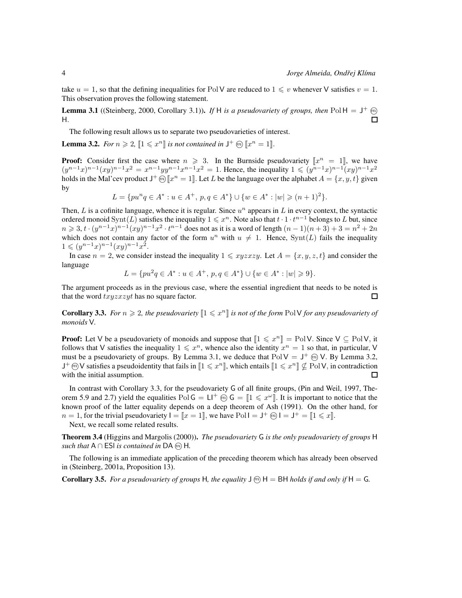take  $u = 1$ , so that the defining inequalities for Pol V are reduced to  $1 \leq v$  whenever V satisfies  $v = 1$ . This observation proves the following statement.

**Lemma 3.1** ((Steinberg, 2000, Corollary 3.1)). If H is a pseudovariety of groups, then Pol H =  $J^+$   $\omega$  $\Box$ H.

The following result allows us to separate two pseudovarieties of interest.

**Lemma 3.2.** *For*  $n \ge 2$ ,  $[1 \le x^n]$  *is not contained in*  $J^+$   $\omega$   $[x^n = 1]$ *.* 

**Proof:** Consider first the case where  $n \ge 3$ . In the Burnside pseudovariety  $\llbracket x^n = 1 \rrbracket$ , we have  $(y^{n-1}x)^{n-1}(xy)^{n-1}x^2 = x^{n-1}yy^{n-1}x^{n-1}x^2 = 1$ . Hence, the inequality  $1 \leqslant (y^{n-1}x)^{n-1}(xy)^{n-1}x^2$ holds in the Mal'cev product  $J^+$   $\widehat{\omega}$   $\llbracket x^n = 1 \rrbracket$ . Let L be the language over the alphabet  $A = \{x, y, t\}$  given by

 $L = \{pu^nq \in A^* : u \in A^+, p, q \in A^* \} \cup \{w \in A^* : |w| \geq (n+1)^2 \}.$ 

Then,  $L$  is a cofinite language, whence it is regular. Since  $u^n$  appears in  $L$  in every context, the syntactic ordered monoid  $\text{Synt}(L)$  satisfies the inequality  $1 \leq x^n$ . Note also that  $t \cdot 1 \cdot t^{n-1}$  belongs to L but, since  $n \geq 3, t \cdot (y^{n-1}x)^{n-1}(xy)^{n-1}x^2 \cdot t^{n-1}$  does not as it is a word of length  $(n-1)(n+3) + 3 = n^2 + 2n$ which does not contain any factor of the form  $u^n$  with  $u \neq 1$ . Hence, Synt(L) fails the inequality  $1 \leqslant (y^{n-1}x)^{n-1}(xy)^{n-1}x^2$ .

In case  $n = 2$ , we consider instead the inequality  $1 \leq xyzxzy$ . Let  $A = \{x, y, z, t\}$  and consider the language

$$
L = \{pu^2q \in A^* : u \in A^+, p, q \in A^* \} \cup \{w \in A^* : |w| \geq 9\}.
$$

The argument proceeds as in the previous case, where the essential ingredient that needs to be noted is that the word  $txyzxzyt$  has no square factor. П

**Corollary 3.3.** For  $n \geq 2$ , the pseudovariety  $[1 \leq x^n]$  is not of the form PolV for any pseudovariety of *monoids* V*.*

**Proof:** Let V be a pseudovariety of monoids and suppose that  $[1 \leq x^n] = \text{PolV}$ . Since  $V \subseteq \text{PolV}$ , it follows that V satisfies the inequality  $1 \leq x^n$ , whence also the identity  $x^n = 1$  so that, in particular, V must be a pseudovariety of groups. By Lemma 3.1, we deduce that  $PolV = J^+ \textcircled{m} V$ . By Lemma 3.2,  $J^+\omega V$  satisfies a pseudoidentity that fails in  $[1 \leq x^n]$ , which entails  $[1 \leq x^n] \nsubseteq P$ ol V, in contradiction with the initial assumption. □

In contrast with Corollary 3.3, for the pseudovariety G of all finite groups, (Pin and Weil, 1997, Theorem 5.9 and 2.7) yield the equalities  $PolG = L l^+ \omega G = [1 \leq x^{\omega}]$ . It is important to notice that the known proof of the latter equality depends on a deep theorem of Ash (1991). On the other hand, for  $n = 1$ , for the trivial pseudovariety  $I = [x = 1]$ , we have Poll  $= J^+ \omega I = J^+ = [1 \le x]$ . Next, we recall some related results.

Theorem 3.4 (Higgins and Margolis (2000)). *The pseudovariety* G *is the only pseudovariety of groups* H *such that*  $A \cap ESI$  *is contained in* DA  $\textcircled{m}$  H.

The following is an immediate application of the preceding theorem which has already been observed in (Steinberg, 2001a, Proposition 13).

**Corollary 3.5.** For a pseudovariety of groups H, the equality  $J \oplus H = BH$  holds if and only if  $H = G$ .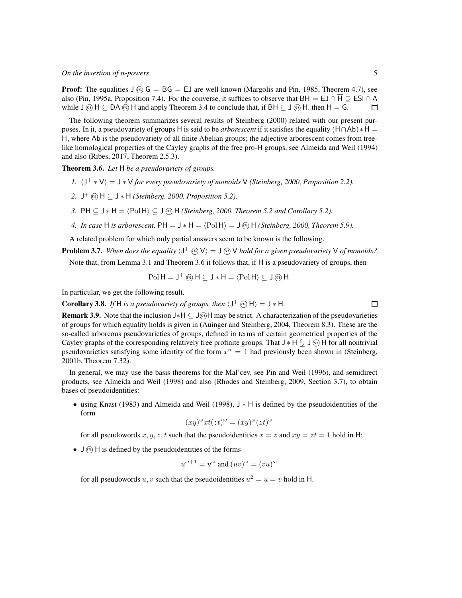**Proof:** The equalities  $J(\overline{m})$   $G = BG = EJ$  are well-known (Margolis and Pin, 1985, Theorem 4.7), see also (Pin, 1995a, Proposition 7.4). For the converse, it suffices to observe that BH = EJ ∩  $\overline{H}$   $\supseteq$  ESI ∩ A while  $J \circledcirc H \subset DA \circledcirc H$  and apply Theorem 3.4 to conclude that, if BH  $\subset J \circledcirc H$ , then H = G. П

The following theorem summarizes several results of Steinberg (2000) related with our present purposes. In it, a pseudovariety of groups H is said to be *arborescent* if it satisfies the equality (H∩Ab)∗H = H, where Ab is the pseudovariety of all finite Abelian groups; the adjective arborescent comes from treelike homological properties of the Cayley graphs of the free pro-H groups, see Almeida and Weil (1994) and also (Ribes, 2017, Theorem 2.5.3).

Theorem 3.6. *Let* H *be a pseudovariety of groups.*

- *1.*  $\langle J^+ * V \rangle = J * V$  *for every pseudovariety of monoids* V *(Steinberg, 2000, Proposition 2.2).*
- 2. J<sup>+</sup>  $\textcircled{m}$  H  $\subseteq$  J  $*$  H *(Steinberg, 2000, Proposition 5.2).*
- *3.* PH ⊆  $J * H = \langle Pol H \rangle ⊆ J ⊕ H$  (*Steinberg, 2000, Theorem 5.2 and Corollary 5.2).*
- *4. In case* H *is arborescent,*  $PH = J * H = \langle Pol H \rangle = J \, \widehat{m}$  H *(Steinberg, 2000, Theorem 5.9).*

A related problem for which only partial answers seem to be known is the following.

**Problem 3.7.** When does the equality  $\langle J^+ \oplus V \rangle = J \oplus V$  hold for a given pseudovariety V of monoids?

Note that, from Lemma 3.1 and Theorem 3.6 it follows that, if H is a pseudovariety of groups, then

$$
\mathrm{Pol}\,H = J^+ \text{ on } H \subseteq J*H = \langle \mathrm{Pol}\,H \rangle \subseteq J \text{ on } H.
$$

In particular, we get the following result.

**Corollary 3.8.** If H is a pseudovariety of groups, then  $\langle J^+ \otimes H \rangle = J * H$ .

Remark 3.9. Note that the inclusion J∗H ⊆ J<sup>@</sup>H may be strict. A characterization of the pseudovarieties of groups for which equality holds is given in (Auinger and Steinberg, 2004, Theorem 8.3). These are the so-called arboreous pseudovarieties of groups, defined in terms of certain geometrical properties of the Cayley graphs of the corresponding relatively free profinite groups. That  $J * H \subsetneq J \omega$  H for all nontrivial pseudovarieties satisfying some identity of the form  $x^n = 1$  had previously been shown in (Steinberg, 2001b, Theorem 7.32).

In general, we may use the basis theorems for the Mal'cev, see Pin and Weil (1996), and semidirect products, see Almeida and Weil (1998) and also (Rhodes and Steinberg, 2009, Section 3.7), to obtain bases of pseudoidentities:

• using Knast (1983) and Almeida and Weil (1998), J ∗ H is defined by the pseudoidentities of the form

$$
(xy)^{\omega}xt(zt)^{\omega} = (xy)^{\omega}(zt)^{\omega}
$$

for all pseudowords x, y, z, t such that the pseudoidentities  $x = z$  and  $xy = zt = 1$  hold in H;

•  $\bigcup$   $\widehat{m}$  H is defined by the pseudoidentities of the forms

$$
u^{\omega+1} = u^{\omega}
$$
 and  $(uv)^{\omega} = (vu)^{\omega}$ 

for all pseudowords u, v such that the pseudoidentities  $u^2 = u = v$  hold in H.

 $\Box$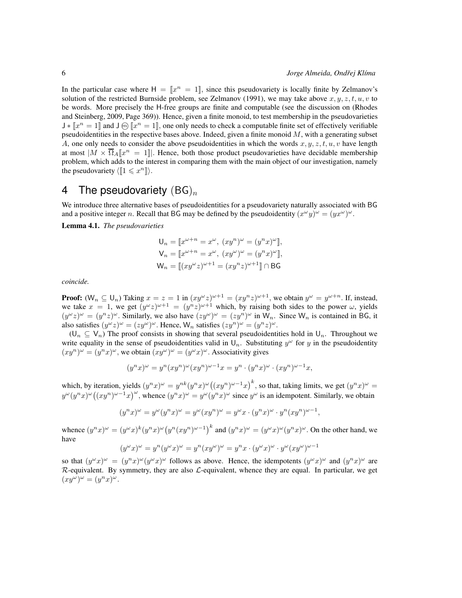In the particular case where  $H = [x^n = 1]$ , since this pseudovariety is locally finite by Zelmanov's solution of the restricted Burnside problem, see Zelmanov (1991), we may take above  $x, y, z, t, u, v$  to be words. More precisely the H-free groups are finite and computable (see the discussion on (Rhodes and Steinberg, 2009, Page 369)). Hence, given a finite monoid, to test membership in the pseudovarieties  $\mathsf{J} * \llbracket x^n = 1 \rrbracket$  and  $\mathsf{J} \circledast \llbracket x^n = 1 \rrbracket$ , one only needs to check a computable finite set of effectively verifiable pseudoidentities in the respective bases above. Indeed, given a finite monoid  $M$ , with a generating subset A, one only needs to consider the above pseudoidentities in which the words  $x, y, z, t, u, v$  have length at most  $|M \times \overline{\Omega}_A$  [ $x^n = 1$ ]. Hence, both those product pseudovarieties have decidable membership problem, which adds to the interest in comparing them with the main object of our investigation, namely the pseudovariety  $\langle [1 \leq x^n] \rangle$ .

#### 4 The pseudovariety  $(BG)_n$

We introduce three alternative bases of pseudoidentities for a pseudovariety naturally associated with BG and a positive integer n. Recall that BG may be defined by the pseudoidentity  $(x^{\omega}y)^{\omega} = (yx^{\omega})^{\omega}$ .

Lemma 4.1. *The pseudovarieties*

$$
U_n = \llbracket x^{\omega+n} = x^{\omega}, (xy^n)^{\omega} = (y^n x)^{\omega} \rrbracket,
$$
  
\n
$$
V_n = \llbracket x^{\omega+n} = x^{\omega}, (xy^{\omega})^{\omega} = (y^n x)^{\omega} \rrbracket,
$$
  
\n
$$
W_n = \llbracket (xy^{\omega}z)^{\omega+1} = (xy^nz)^{\omega+1} \rrbracket \cap BG
$$

*coincide.*

**Proof:**  $(W_n \subseteq U_n)$  Taking  $x = z = 1$  in  $(xy^{\omega}z)^{\omega+1} = (xy^nz)^{\omega+1}$ , we obtain  $y^{\omega} = y^{\omega+n}$ . If, instead, we take  $x = 1$ , we get  $(y^{\omega}z)^{\omega+1} = (y^nz)^{\omega+1}$  which, by raising both sides to the power  $\omega$ , yields  $(y^{\omega}z)^{\omega} = (y^nz)^{\omega}$ . Similarly, we also have  $(zy^{\omega})^{\omega} = (zy^n)^{\omega}$  in  $\mathsf{W}_n$ . Since  $\mathsf{W}_n$  is contained in BG, it also satisfies  $(y^{\omega}z)^{\omega} = (zy^{\omega})^{\omega}$ . Hence,  $W_n$  satisfies  $(zy^n)^{\omega} = (y^nz)^{\omega}$ .

 $(U_n \subseteq V_n)$  The proof consists in showing that several pseudoidentities hold in  $U_n$ . Throughout we write equality in the sense of pseudoidentities valid in  $\mathsf{U}_n$ . Substituting  $y^\omega$  for y in the pseudoidentity  $(xy^n)^{\omega} = (y^n x)^{\omega}$ , we obtain  $(xy^{\omega})^{\omega} = (y^{\omega} x)^{\omega}$ . Associativity gives

$$
(ynx)\omega = yn(xyn)\omega(xyn)\omega-1x = yn \cdot (ynx)\omega \cdot (xyn)\omega-1x,
$$

which, by iteration, yields  $(y^n x)^\omega = y^{nk} (y^n x)^\omega ((xy^n)^{\omega-1} x)^k$ , so that, taking limits, we get  $(y^n x)^\omega =$  $y^{\omega}(y^n x)^{\omega}( (xy^n)^{\omega-1}x)^{\omega}$ , whence  $(y^n x)^{\omega} = y^{\omega}(y^n x)^{\omega}$  since  $y^{\omega}$  is an idempotent. Similarly, we obtain

$$
(y^n x)^{\omega} = y^{\omega} (y^n x)^{\omega} = y^{\omega} (xy^n)^{\omega} = y^{\omega} x \cdot (y^n x)^{\omega} \cdot y^n (xy^n)^{\omega - 1},
$$

whence  $(y^n x)^\omega = (y^\omega x)^k (y^n x)^\omega (y^n (xy^n)^{\omega - 1})^k$  and  $(y^n x)^\omega = (y^\omega x)^\omega (y^n x)^\omega$ . On the other hand, we have  $\overline{1}$ 

$$
(y^{\omega}x)^{\omega} = y^{n}(y^{\omega}x)^{\omega} = y^{n}(xy^{\omega})^{\omega} = y^{n}x \cdot (y^{\omega}x)^{\omega} \cdot y^{\omega}(xy^{\omega})^{\omega - 1}
$$

so that  $(y^{\omega}x)^{\omega} = (y^{n}x)^{\omega}(y^{\omega}x)^{\omega}$  follows as above. Hence, the idempotents  $(y^{\omega}x)^{\omega}$  and  $(y^{n}x)^{\omega}$  are  $R$ -equivalent. By symmetry, they are also  $\mathcal{L}$ -equivalent, whence they are equal. In particular, we get  $(xy^{\omega})^{\omega} = (y^n x)^{\omega}.$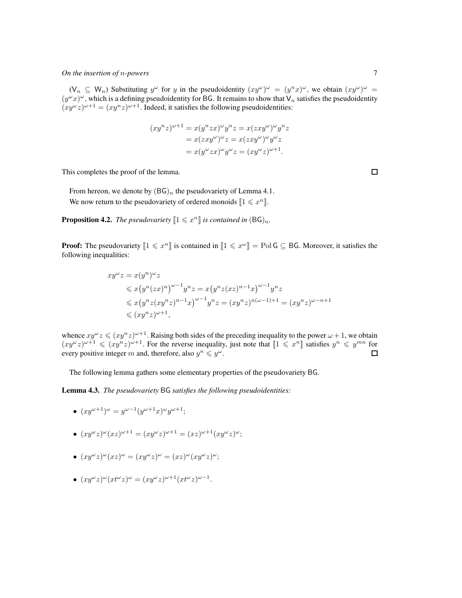$(\mathsf{V}_n \subseteq \mathsf{W}_n)$  Substituting  $y^{\omega}$  for y in the pseudoidentity  $(xy^{\omega})^{\omega} = (y^nx)^{\omega}$ , we obtain  $(xy^{\omega})^{\omega} =$  $(y^{\omega}x)^{\omega}$ , which is a defining pseudoidentity for BG. It remains to show that  $V_n$  satisfies the pseudoidentity  $(xy^{\omega}z)^{\omega+1} = (xy^nz)^{\omega+1}$ . Indeed, it satisfies the following pseudoidentities:

$$
(xy^{n}z)^{\omega+1} = x(y^{n}zx)^{\omega}y^{n}z = x(zxy^{\omega})^{\omega}y^{n}z
$$

$$
= x(zxy^{\omega})^{\omega}z = x(zxy^{\omega})^{\omega}y^{\omega}z
$$

$$
= x(y^{\omega}zx)^{\omega}y^{\omega}z = (xy^{\omega}z)^{\omega+1}.
$$

This completes the proof of the lemma.

From hereon, we denote by  $(BG)<sub>n</sub>$  the pseudovariety of Lemma 4.1. We now return to the pseudovariety of ordered monoids  $\llbracket 1 \leq x^n \rrbracket$ .

**Proposition 4.2.** The pseudovariety  $[1 \leq x^n]$  is contained in  $(BG)_n$ .

**Proof:** The pseudovariety  $[1 \leq x^n]$  is contained in  $[1 \leq x^{\omega}]$  = PolG  $\subseteq$  BG. Moreover, it satisfies the following inequalities:

$$
xy^{\omega}z = x(y^n)^{\omega}z
$$
  
\n
$$
\leq x(y^n(zx)^n)^{\omega-1}y^nz = x(y^nz(xz)^{n-1}x)^{\omega-1}y^nz
$$
  
\n
$$
\leq x(y^nz(xy^nz)^{n-1}x)^{\omega-1}y^nz = (xy^nz)^{n(\omega-1)+1} = (xy^nz)^{\omega-n+1}
$$
  
\n
$$
\leq (xy^nz)^{\omega+1},
$$

whence  $xy^{\omega}z \leq (xy^nz)^{\omega+1}$ . Raising both sides of the preceding inequality to the power  $\omega + 1$ , we obtain  $(xy^{\omega}z)^{\omega+1} \leq (xy^nz)^{\omega+1}$ . For the reverse inequality, just note that  $[1 \leq x^n]$  satisfies  $y^n \leq y^{mn}$  for every positive integer m and, therefore, also  $y^n \leq y^{\omega}$ .  $\Box$ 

The following lemma gathers some elementary properties of the pseudovariety BG.

Lemma 4.3. *The pseudovariety* BG *satisfies the following pseudoidentities:*

• 
$$
(xy^{\omega+1})^{\omega} = y^{\omega-1}(y^{\omega+1}x)^{\omega}y^{\omega+1};
$$

• 
$$
(xy^{\omega}z)^{\omega}(xz)^{\omega+1} = (xy^{\omega}z)^{\omega+1} = (xz)^{\omega+1}(xy^{\omega}z)^{\omega};
$$

- $(xy^{\omega}z)^{\omega}(xz)^{\omega} = (xy^{\omega}z)^{\omega} = (xz)^{\omega}(xy^{\omega}z)^{\omega};$
- $(xy^{\omega}z)^{\omega}(xt^{\omega}z)^{\omega} = (xy^{\omega}z)^{\omega+1}(xt^{\omega}z)^{\omega-1}.$

 $\Box$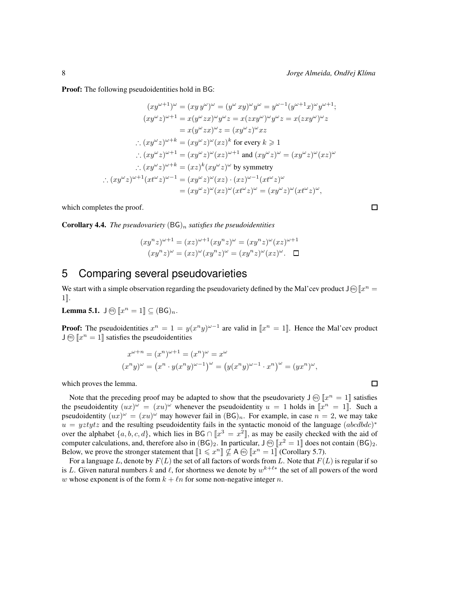**Proof:** The following pseudoidentities hold in BG:

$$
(xy^{\omega+1})^{\omega} = (xy y^{\omega})^{\omega} = (y^{\omega} xy)^{\omega} y^{\omega} = y^{\omega-1} (y^{\omega+1} x)^{\omega} y^{\omega+1};
$$
  
\n
$$
(xy^{\omega} z)^{\omega+1} = x (y^{\omega} zx)^{\omega} y^{\omega} z = x (zxy^{\omega})^{\omega} y^{\omega} z = x (zxy^{\omega})^{\omega} z
$$
  
\n
$$
= x (y^{\omega} zx)^{\omega} z = (xy^{\omega} z)^{\omega} xz
$$
  
\n
$$
\therefore (xy^{\omega} z)^{\omega+k} = (xy^{\omega} z)^{\omega} (xz)^{k} \text{ for every } k \ge 1
$$
  
\n
$$
\therefore (xy^{\omega} z)^{\omega+1} = (xy^{\omega} z)^{\omega} (xz)^{\omega+1} \text{ and } (xy^{\omega} z)^{\omega} = (xy^{\omega} z)^{\omega} (xz)^{\omega}
$$
  
\n
$$
\therefore (xy^{\omega} z)^{\omega+k} = (xz)^{k} (xy^{\omega} z)^{\omega} \text{ by symmetry}
$$
  
\n
$$
\therefore (xy^{\omega} z)^{\omega+1} (xt^{\omega} z)^{\omega-1} = (xy^{\omega} z)^{\omega} (xz) \cdot (xz)^{\omega-1} (xt^{\omega} z)^{\omega}
$$
  
\n
$$
= (xy^{\omega} z)^{\omega} (xz)^{\omega} (xt^{\omega} z)^{\omega} = (xy^{\omega} z)^{\omega} (xt^{\omega} z)^{\omega},
$$

which completes the proof.

**Corollary 4.4.** *The pseudovariety*  $(BG)_n$  *satisfies the pseudoidentities* 

$$
(xy^{n}z)^{\omega+1} = (xz)^{\omega+1}(xy^{n}z)^{\omega} = (xy^{n}z)^{\omega}(xz)^{\omega+1}
$$

$$
(xy^{n}z)^{\omega} = (xz)^{\omega}(xy^{n}z)^{\omega} = (xy^{n}z)^{\omega}(xz)^{\omega}.
$$

### 5 Comparing several pseudovarieties

We start with a simple observation regarding the pseudovariety defined by the Mal'cev product  $J\omega\llbracket x^n =$  $1$ .

**Lemma 5.1.**  $\mathsf{J} \circledcirc [x^n = 1] \subseteq (\mathsf{BG})_n$ .

**Proof:** The pseudoidentities  $x^n = 1 = y(x^n y)^{\omega - 1}$  are valid in  $[x^n = 1]$ . Hence the Mal'cev product  $\mathsf{J} \widehat{m}$   $\llbracket x^n = 1 \rrbracket$  satisfies the pseudoidentities

$$
x^{\omega+n} = (x^n)^{\omega+1} = (x^n)^{\omega} = x^{\omega}
$$
  

$$
(x^ny)^{\omega} = (x^n \cdot y(x^ny)^{\omega-1})^{\omega} = (y(x^ny)^{\omega-1} \cdot x^n)^{\omega} = (yx^n)^{\omega},
$$

which proves the lemma.

Note that the preceding proof may be adapted to show that the pseudovariety  $J \omega \llbracket x^n = 1 \rrbracket$  satisfies the pseudoidentity  $(ux)^{\omega} = (xu)^{\omega}$  whenever the pseudoidentity  $u = 1$  holds in  $\llbracket x^n = 1 \rrbracket$ . Such a pseudoidentity  $(ux)^{\omega} = (xu)^{\omega}$  may however fail in  $(BG)<sub>n</sub>$ . For example, in case  $n = 2$ , we may take  $u = yztytz$  and the resulting pseudoidentity fails in the syntactic monoid of the language  $(abcdbdc)^*$ over the alphabet  $\{a, b, c, d\}$ , which lies in BG  $\cap$   $x^3 = x^2$ , as may be easily checked with the aid of computer calculations, and, therefore also in  $(BG)_2$ . In particular,  $J \otimes [x^2 = 1]$  does not contain  $(BG)_2$ . Below, we prove the stronger statement that  $\llbracket 1 \leqslant x^n \rrbracket \nsubseteq A \text{ } \textcircled{m} \ \llbracket x^n = 1 \rrbracket$  (Corollary 5.7).

For a language L, denote by  $F(L)$  the set of all factors of words from L. Note that  $F(L)$  is regular if so is L. Given natural numbers k and  $\ell$ , for shortness we denote by  $w^{k+\ell*}$  the set of all powers of the word w whose exponent is of the form  $k + \ell n$  for some non-negative integer n.

 $\Box$ 

 $\Box$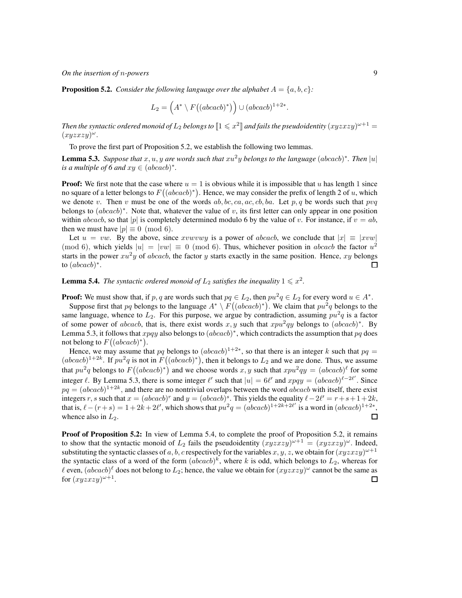**Proposition 5.2.** *Consider the following language over the alphabet*  $A = \{a, b, c\}$ *:* 

$$
L_2 = \left(A^* \setminus F((abcacb)^*)\right) \cup (abcacb)^{1+2*}.
$$

Then the syntactic ordered monoid of  $L_2$  belongs to  $[\![1\leqslant x^2]\!]$  and fails the pseudoidentity  $(xyzxzy)^{\omega+1}=$  $(xyzxzy)^\omega$ .

To prove the first part of Proposition 5.2, we establish the following two lemmas.

**Lemma 5.3.** Suppose that  $x, u, y$  are words such that  $xu^2y$  belongs to the language (abcacb)\*. Then  $|u|$ *is a multiple of 6 and*  $xy \in (abcacb)^*$ .

**Proof:** We first note that the case where  $u = 1$  is obvious while it is impossible that u has length 1 since no square of a letter belongs to  $F((abcacb)^*)$ . Hence, we may consider the prefix of length 2 of u, which we denote v. Then v must be one of the words  $ab, bc, ca, ac, cb, ba$ . Let p, q be words such that pvq belongs to  $(abcacb)^*$ . Note that, whatever the value of v, its first letter can only appear in one position within abcacb, so that |p| is completely determined modulo 6 by the value of v. For instance, if  $v = ab$ , then we must have  $|p| \equiv 0 \pmod{6}$ .

Let  $u = vw$ . By the above, since xvwvwy is a power of abcacb, we conclude that  $|x| \equiv |xvw|$ (mod 6), which yields  $|u| = |vw| \equiv 0 \pmod{6}$ . Thus, whichever position in abcacb the factor  $u^2$ starts in the power  $xu^2y$  of abcacb, the factor y starts exactly in the same position. Hence, xy belongs to  $(abcacb)^*$ . 口

**Lemma 5.4.** The syntactic ordered monoid of  $L_2$  satisfies the inequality  $1 \leq x^2$ .

**Proof:** We must show that, if p, q are words such that  $pq \in L_2$ , then  $pu^2q \in L_2$  for every word  $u \in A^*$ . Suppose first that pq belongs to the language  $A^* \setminus F((abcacb)^*)$ . We claim that  $pu^2q$  belongs to the same language, whence to  $L_2$ . For this purpose, we argue by contradiction, assuming  $pu^2q$  is a factor of some power of abcacb, that is, there exist words x, y such that  $xpu^2qy$  belongs to  $(abcacb)^*$ . By Lemma 5.3, it follows that  $xpqy$  also belongs to  $(abcacb)^*$ , which contradicts the assumption that  $pq$  does not belong to  $F((abcacb)^*)$ .

Hence, we may assume that pq belongs to  $(abcacb)^{1+2*}$ , so that there is an integer k such that  $pq =$  $(abcacb)^{1+2k}$ . If  $pu^2q$  is not in  $F((abcacb)^*)$ , then it belongs to  $L_2$  and we are done. Thus, we assume that  $pu^2q$  belongs to  $F((abcacb)^*)$  and we choose words x, y such that  $xpu^2qy = (abcacb)^{\ell}$  for some integer  $\ell$ . By Lemma 5.3, there is some integer  $\ell'$  such that  $|u| = 6\ell'$  and  $xpqy = (abcacb)^{\ell-2\ell'}$ . Since  $pq = (abcacb)^{1+2k}$ , and there are no nontrivial overlaps between the word abcacb with itself, there exist integers r, s such that  $x = (abcacb)^r$  and  $y = (abcacb)^s$ . This yields the equality  $l - 2l' = r + s + 1 + 2k$ , that is,  $\ell - (r+s) = 1 + 2k + 2\ell'$ , which shows that  $pu^2q = (abcacb)^{1+2k+2\ell'}$  is a word in  $(abcacb)^{1+2k}$ , whence also in  $L_2$ . □

**Proof of Proposition 5.2:** In view of Lemma 5.4, to complete the proof of Proposition 5.2, it remains to show that the syntactic monoid of  $L_2$  fails the pseudoidentity  $(xyzxzy)^{\omega+1} = (xyzxzy)^{\omega}$ . Indeed, substituting the syntactic classes of a, b, c respectively for the variables  $x, y, z$ , we obtain for  $(xyzxzy)^{\omega+1}$ the syntactic class of a word of the form  $(abcacb)^k$ , where k is odd, which belongs to  $L_2$ , whereas for  $\ell$  even,  $(abcacb)^{\ell}$  does not belong to  $L_2$ ; hence, the value we obtain for  $(xyzxzy)^{\omega}$  cannot be the same as for  $(xyzxzy)^{\omega+1}$ . □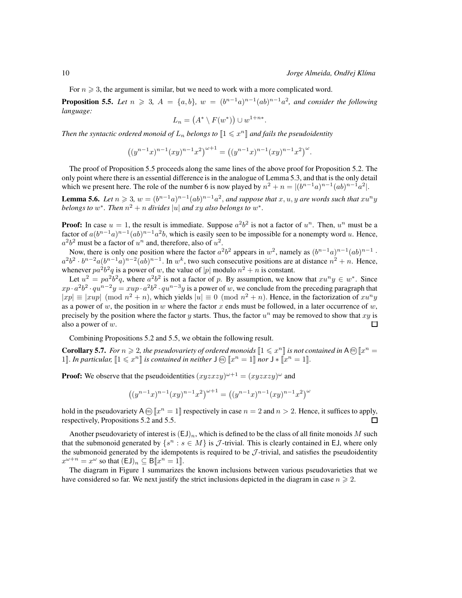For  $n \geq 3$ , the argument is similar, but we need to work with a more complicated word.

**Proposition 5.5.** Let  $n \ge 3$ ,  $A = \{a, b\}$ ,  $w = (b^{n-1}a)^{n-1}(ab)^{n-1}a^2$ , and consider the following *language:*

$$
L_n = (A^* \setminus F(w^*)) \cup w^{1+n*}.
$$

Then the syntactic ordered monoid of  $L_n$  belongs to  $\llbracket 1 \leqslant x^n \rrbracket$  and fails the pseudoidentity

$$
((y^{n-1}x)^{n-1}(xy)^{n-1}x^2)^{\omega+1} = ((y^{n-1}x)^{n-1}(xy)^{n-1}x^2)^{\omega}.
$$

The proof of Proposition 5.5 proceeds along the same lines of the above proof for Proposition 5.2. The only point where there is an essential difference is in the analogue of Lemma 5.3, and that is the only detail which we present here. The role of the number 6 is now played by  $n^2 + n = |(b^{n-1}a)^{n-1}(ab)^{n-1}a^2|$ .

**Lemma 5.6.** Let  $n \ge 3$ ,  $w = (b^{n-1}a)^{n-1}(ab)^{n-1}a^2$ , and suppose that  $x, u, y$  are words such that  $xu^ny$ *belongs to*  $w^*$ *. Then*  $n^2 + n$  *divides*  $|u|$  *and xy also belongs to*  $w^*$ *.* 

**Proof:** In case  $u = 1$ , the result is immediate. Suppose  $a^2b^2$  is not a factor of  $u^n$ . Then,  $u^n$  must be a factor of  $a(b^{n-1}a)^{n-1}(ab)^{n-1}a^2b$ , which is easily seen to be impossible for a nonempty word u. Hence,  $a^2b^2$  must be a factor of  $u^n$  and, therefore, also of  $u^2$ .

Now, there is only one position where the factor  $a^2b^2$  appears in  $w^2$ , namely as  $(b^{n-1}a)^{n-1}(ab)^{n-1}$ .  $a^2b^2 \cdot b^{n-2}a(b^{n-1}a)^{n-2}(ab)^{n-1}$ . In w<sup>k</sup>, two such consecutive positions are at distance  $n^2 + n$ . Hence, whenever  $pa^2b^2q$  is a power of w, the value of |p| modulo  $n^2 + n$  is constant.

Let  $u^2 = pa^2b^2q$ , where  $a^2b^2$  is not a factor of p. By assumption, we know that  $xu^ny \in w^*$ . Since  $xp \cdot a^2b^2 \cdot qu^{n-2}y = xup \cdot a^2b^2 \cdot qu^{n-3}y$  is a power of w, we conclude from the preceding paragraph that  $|xp| \equiv |xup| \pmod{n^2 + n}$ , which yields  $|u| \equiv 0 \pmod{n^2 + n}$ . Hence, in the factorization of  $xu^ny$ as a power of w, the position in w where the factor x ends must be followed, in a later occurrence of w, precisely by the position where the factor y starts. Thus, the factor  $u^n$  may be removed to show that  $xy$  is also a power of  $w$ . 口

Combining Propositions 5.2 and 5.5, we obtain the following result.

**Corollary 5.7.** For  $n \ge 2$ , the pseudovariety of ordered monoids  $[1 \le x^n]$  is not contained in A $\omega$   $[x^n =$ 1]. In particular,  $[1 \leq x^n]$  is contained in neither  $\mathsf{J} \oplus [x^n = 1]$  nor  $\mathsf{J} \ast [\![x^n = 1]\!]$ .

**Proof:** We observe that the pseudoidentities  $(xyzxzy)^{\omega+1} = (xyzxzy)^{\omega}$  and

$$
((y^{n-1}x)^{n-1}(xy)^{n-1}x^2)^{\omega+1} = ((y^{n-1}x)^{n-1}(xy)^{n-1}x^2)^{\omega}
$$

hold in the pseudovariety  $A \circledcirc [x^n = 1]$  respectively in case  $n = 2$  and  $n > 2$ . Hence, it suffices to apply, respectively, Propositions 5.2 and 5.5.  $\Box$ 

Another pseudovariety of interest is  $(EJ)_n$ , which is defined to be the class of all finite monoids M such that the submonoid generated by  $\{s^n : s \in M\}$  is  $\mathcal{J}$ -trivial. This is clearly contained in EJ, where only the submonoid generated by the idempotents is required to be  $J$ -trivial, and satisfies the pseudoidentity  $x^{\omega+n} = x^{\omega}$  so that  $(\textsf{EJ})_n \subseteq \textsf{B}[\![x^n = 1]\!]$ .

The diagram in Figure 1 summarizes the known inclusions between various pseudovarieties that we have considered so far. We next justify the strict inclusions depicted in the diagram in case  $n \geq 2$ .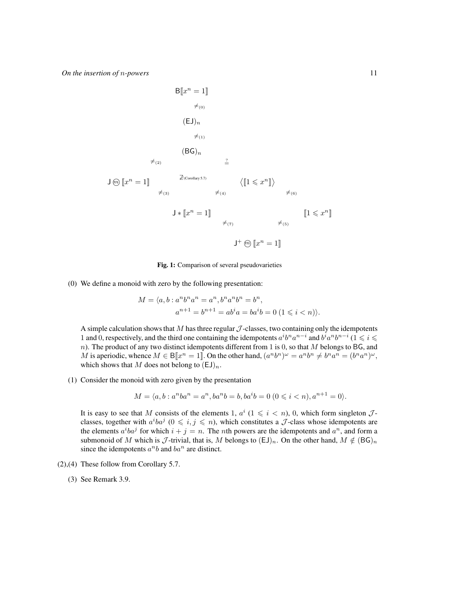$$
B[x^{n} = 1]
$$
\n
$$
\neq_{(0)}
$$
\n
$$
(EJ)n
$$
\n
$$
\neq_{(1)}
$$
\n
$$
(BG)n
$$
\n
$$
\neq_{(2)}
$$
\n
$$
\frac{2}{2}
$$
\n
$$
J \text{ on } [x^{n} = 1]
$$
\n
$$
\neq_{(3)}
$$
\n
$$
J * [x^{n} = 1]
$$
\n
$$
\neq_{(7)}
$$
\n
$$
J^{+} \text{ on } [x^{n} = 1]
$$
\n
$$
J^{+} \text{ on } [x^{n} = 1]
$$
\n
$$
J^{+} \text{ on } [x^{n} = 1]
$$

Fig. 1: Comparison of several pseudovarieties

(0) We define a monoid with zero by the following presentation:

$$
M = \langle a, b : a^n b^n a^n = a^n, b^n a^n b^n = b^n,
$$
  

$$
a^{n+1} = b^{n+1} = ab^i a = ba^i b = 0 \ (1 \leq i < n) \rangle.
$$

A simple calculation shows that  $M$  has three regular  $J$ -classes, two containing only the idempotents 1 and 0, respectively, and the third one containing the idempotents  $a^i b^n a^{n-i}$  and  $b^i a^n b^{n-i}$  ( $1 \leq i \leq n$ )  $n$ ). The product of any two distinct idempotents different from 1 is 0, so that  $M$  belongs to BG, and M is aperiodic, whence  $M \in B[[x^n = 1]]$ . On the other hand,  $(a^nb^n)^\omega = a^n b^n \neq b^n a^n = (b^n a^n)^\omega$ , which shows that M does not belong to  $(\mathsf{E}\mathsf{J})_n$ .

(1) Consider the monoid with zero given by the presentation

$$
M = \langle a, b : a^n b a^n = a^n, ba^n b = b, ba^i b = 0 \ (0 \leq i < n), a^{n+1} = 0 \rangle.
$$

It is easy to see that M consists of the elements 1,  $a^i$  ( $1 \leq i \leq n$ ), 0, which form singleton  $\mathcal{J}$ classes, together with  $a^iba^j$   $(0 \leq i, j \leq n)$ , which constitutes a  $J$ -class whose idempotents are the elements  $a^iba^j$  for which  $i + j = n$ . The *n*th powers are the idempotents and  $a^n$ , and form a submonoid of M which is  $\mathcal J$ -trivial, that is, M belongs to  $(\text{EJ})_n$ . On the other hand,  $M \notin (\text{BG})_n$ since the idempotents  $a^nb$  and  $ba^n$  are distinct.

- (2),(4) These follow from Corollary 5.7.
	- (3) See Remark 3.9.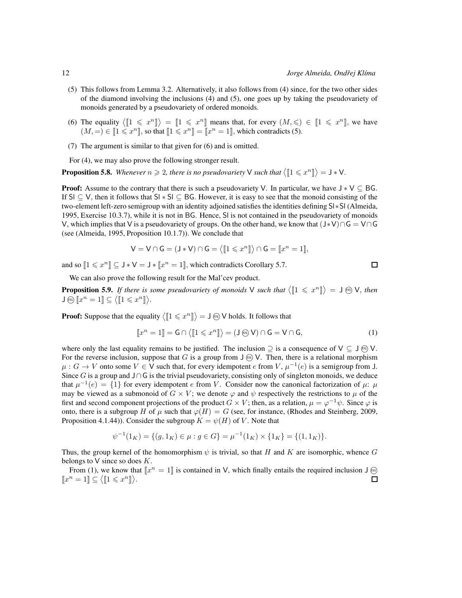- (5) This follows from Lemma 3.2. Alternatively, it also follows from (4) since, for the two other sides of the diamond involving the inclusions (4) and (5), one goes up by taking the pseudovariety of monoids generated by a pseudovariety of ordered monoids.
- (6) The equality  $\langle 1 \leq x^n \rangle = [1 \leq x^n]$  means that, for every  $(M, \leq) \in [1 \leq x^n]$ , we have  $(M, =) \in [1 \leq x^n],$  so that  $[1 \leq x^n] = [x^n = 1],$  which contradicts (5).
- (7) The argument is similar to that given for (6) and is omitted.

For (4), we may also prove the following stronger result.

**Proposition 5.8.** Whenever  $n \ge 2$ , there is no pseudovariety V such that  $\langle [1 \le x^n] \rangle = J * V$ .

**Proof:** Assume to the contrary that there is such a pseudovariety V. In particular, we have  $J * V \subseteq BG$ . If Sl ⊆ V, then it follows that Sl ∗ Sl ⊆ BG. However, it is easy to see that the monoid consisting of the two-element left-zero semigroup with an identity adjoined satisfies the identities defining Sl∗Sl (Almeida, 1995, Exercise 10.3.7), while it is not in BG. Hence, Sl is not contained in the pseudovariety of monoids V, which implies that V is a pseudovariety of groups. On the other hand, we know that  $(J*V) ∩ G = V∩G$ (see (Almeida, 1995, Proposition 10.1.7)). We conclude that

$$
V = V \cap G = (J * V) \cap G = \langle [1 \leq x^n] \rangle \cap G = [x^n = 1],
$$

and so  $[1 \leq x^n] \subseteq J*V = J*[[x^n = 1]]$ , which contradicts Corollary 5.7.

$$
\qquad \qquad \Box
$$

We can also prove the following result for the Mal'cev product.

**Proposition 5.9.** If there is some pseudovariety of monoids V such that  $\langle [1 \leq x^n] \rangle = J \oplus V$ , then  $\mathsf{J} \circledcirc \llbracket x^n = 1 \rrbracket \subseteq \langle \llbracket 1 \leqslant x^n \rrbracket \rangle.$ 

**Proof:** Suppose that the equality  $\langle [1 \leq x^n] \rangle = J \text{ } \textcircled{b}$  V holds. It follows that

$$
[\![x^n = 1]\!] = \mathsf{G} \cap \langle [\![1 \leq x^n]\!] \rangle = (\mathsf{J} \circledast \mathsf{V}) \cap \mathsf{G} = \mathsf{V} \cap \mathsf{G},\tag{1}
$$

where only the last equality remains to be justified. The inclusion  $\supseteq$  is a consequence of  $V \subseteq J \oplus V$ . For the reverse inclusion, suppose that G is a group from  $J \odot N$ . Then, there is a relational morphism  $\mu: G \to V$  onto some  $V \in V$  such that, for every idempotent e from V,  $\mu^{-1}(e)$  is a semigroup from J. Since G is a group and  $J\cap G$  is the trivial pseudovariety, consisting only of singleton monoids, we deduce that  $\mu^{-1}(e) = \{1\}$  for every idempotent e from V. Consider now the canonical factorization of  $\mu$ :  $\mu$ may be viewed as a submonoid of  $G \times V$ ; we denote  $\varphi$  and  $\psi$  respectively the restrictions to  $\mu$  of the first and second component projections of the product  $G \times V$ ; then, as a relation,  $\mu = \varphi^{-1}\psi$ . Since  $\varphi$  is onto, there is a subgroup H of  $\mu$  such that  $\varphi(H) = G$  (see, for instance, (Rhodes and Steinberg, 2009, Proposition 4.1.44)). Consider the subgroup  $K = \psi(H)$  of V. Note that

$$
\psi^{-1}(1_K) = \{(g, 1_K) \in \mu : g \in G\} = \mu^{-1}(1_K) \times \{1_K\} = \{(1, 1_K)\}.
$$

Thus, the group kernel of the homomorphism  $\psi$  is trivial, so that H and K are isomorphic, whence G belongs to  $V$  since so does  $K$ .

From (1), we know that  $\llbracket x^n = 1 \rrbracket$  is contained in V, which finally entails the required inclusion J  $\omega$  $\llbracket x^n = 1 \rrbracket \subseteq \langle \llbracket 1 \leqslant x^n \rrbracket \rangle.$  $\Box$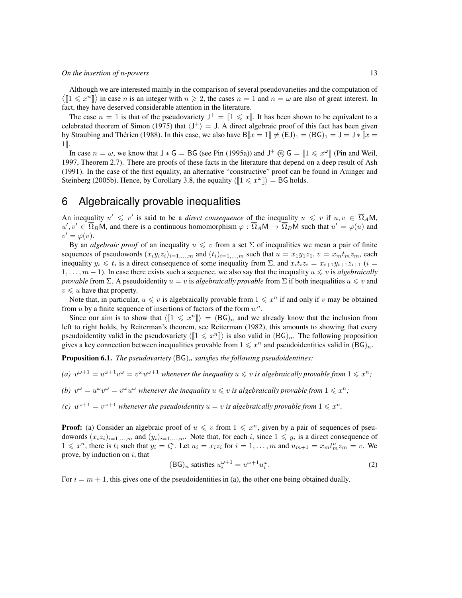Although we are interested mainly in the comparison of several pseudovarieties and the computation of  $\langle [1 \leq x^n] \rangle$  in case *n* is an integer with  $n \geq 2$ , the cases  $n = 1$  and  $n = \omega$  are also of great interest. In fact, they have deserved considerable attention in the literature.

The case  $n = 1$  is that of the pseudovariety  $J^+ = [1 \leq x]$ . It has been shown to be equivalent to a celebrated theorem of Simon (1975) that  $\langle J^+ \rangle = J$ . A direct algebraic proof of this fact has been given by Straubing and Thérien (1988). In this case, we also have  $B\|x = 1\| \neq (EJ)_1 = (BG)_1 = J = J * \|x =$  $1$ .

In case  $n = \omega$ , we know that  $J * G = BG$  (see Pin (1995a)) and  $J^+$   $\omega G = [1 \leq x^{\omega}]$  (Pin and Weil, 1997, Theorem 2.7). There are proofs of these facts in the literature that depend on a deep result of Ash (1991). In the case of the first equality, an alternative "constructive" proof can be found in Auinger and Steinberg (2005b). Hence, by Corollary 3.8, the equality  $\langle [1 \leq x^{\omega}] \rangle = BG$  holds.

### 6 Algebraically provable inequalities

An inequality  $u' \leq v'$  is said to be a *direct consequence* of the inequality  $u \leq v$  if  $u, v \in \overline{\Omega}_A M$ ,  $u', v' \in \overline{\Omega}_B M$ , and there is a continuous homomorphism  $\varphi : \overline{\Omega}_A M \to \overline{\Omega}_B M$  such that  $u' = \varphi(u)$  and  $v' = \varphi(v)$ .

By an *algebraic proof* of an inequality  $u \leq v$  from a set  $\Sigma$  of inequalities we mean a pair of finite sequences of pseudowords  $(x_i y_i z_i)_{i=1,\dots,m}$  and  $(t_i)_{i=1,\dots,m}$  such that  $u = x_1 y_1 z_1$ ,  $v = x_m t_m z_m$ , each inequality  $y_i \leq t_i$  is a direct consequence of some inequality from  $\Sigma$ , and  $x_i t_i z_i = x_{i+1} y_{i+1} z_{i+1}$  ( $i =$  $1, \ldots, m - 1$ ). In case there exists such a sequence, we also say that the inequality  $u \leq v$  is *algebraically provable* from Σ. A pseudoidentity  $u = v$  is *algebraically provable* from Σ if both inequalities  $u \leq v$  and  $v \leq u$  have that property.

Note that, in particular,  $u \leq v$  is algebraically provable from  $1 \leq x^n$  if and only if v may be obtained from  $u$  by a finite sequence of insertions of factors of the form  $w^n$ .

Since our aim is to show that  $\langle [1 \leq x^n] \rangle = (BG)_n$  and we already know that the inclusion from left to right holds, by Reiterman's theorem, see Reiterman (1982), this amounts to showing that every pseudoidentity valid in the pseudovariety  $\langle [1 \leq x^n] \rangle$  is also valid in  $(BG)_n$ . The following proposition gives a key connection between inequalities provable from  $1 \leq x^n$  and pseudoidentities valid in  $(BG)_n$ .

**Proposition 6.1.** *The pseudovariety*  $(BG)_n$  *satisfies the following pseudoidentities:* 

- (a)  $v^{\omega+1} = u^{\omega+1}v^{\omega} = v^{\omega}u^{\omega+1}$  whenever the inequality  $u \leq v$  is algebraically provable from  $1 \leq x^n$ ;
- *(b)*  $v^{\omega} = u^{\omega}v^{\omega} = v^{\omega}u^{\omega}$  whenever the inequality  $u \leq v$  is algebraically provable from  $1 \leq x^{n}$ ;
- *(c)*  $u^{\omega+1} = v^{\omega+1}$  whenever the pseudoidentity  $u = v$  is algebraically provable from  $1 \leq x^n$ .

**Proof:** (a) Consider an algebraic proof of  $u \leq v$  from  $1 \leq x^n$ , given by a pair of sequences of pseudowords  $(x_i z_i)_{i=1,\dots,m}$  and  $(y_i)_{i=1,\dots,m}$ . Note that, for each i, since  $1 \leq y_i$  is a direct consequence of  $1 \leq x^n$ , there is  $t_i$  such that  $y_i = t_i^n$ . Let  $u_i = x_i z_i$  for  $i = 1, ..., m$  and  $u_{m+1} = x_m t_m^n z_m = v$ . We prove, by induction on  $i$ , that

$$
(\text{BG})_n \text{ satisfies } u_i^{\omega+1} = u^{\omega+1} u_i^{\omega}.
$$
 (2)

For  $i = m + 1$ , this gives one of the pseudoidentities in (a), the other one being obtained dually.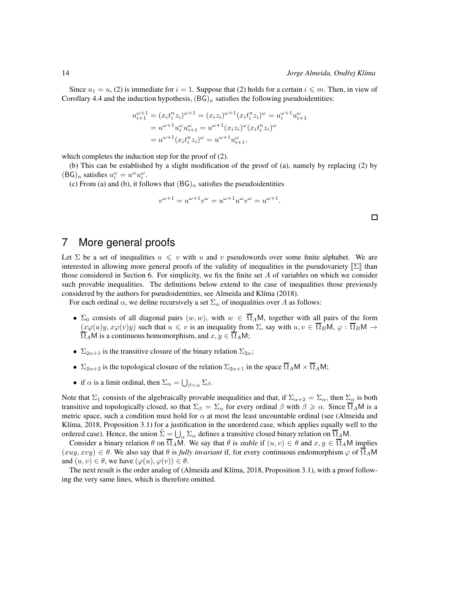Since  $u_1 = u$ , (2) is immediate for  $i = 1$ . Suppose that (2) holds for a certain  $i \leq m$ . Then, in view of Corollary 4.4 and the induction hypothesis,  $(BG)<sub>n</sub>$  satisfies the following pseudoidentities:

$$
u_{i+1}^{\omega+1} = (x_i t_i^n z_i)^{\omega+1} = (x_i z_i)^{\omega+1} (x_i t_i^n z_i)^{\omega} = u_i^{\omega+1} u_{i+1}^{\omega}
$$
  
=  $u^{\omega+1} u_i^{\omega} u_{i+1}^{\omega} = u^{\omega+1} (x_i z_i)^{\omega} (x_i t_i^n z_i)^{\omega}$   
=  $u^{\omega+1} (x_i t_i^n z_i)^{\omega} = u^{\omega+1} u_{i+1}^{\omega},$ 

which completes the induction step for the proof of  $(2)$ .

(b) This can be established by a slight modification of the proof of (a), namely by replacing (2) by  $(BG)_n$  satisfies  $u_i^{\omega} = u^{\omega} u_i^{\omega}$ .

(c) From (a) and (b), it follows that  $(BG)_n$  satisfies the pseudoidentities

$$
v^{\omega+1} = u^{\omega+1}v^{\omega} = u^{\omega+1}u^{\omega}v^{\omega} = u^{\omega+1}.
$$

## 7 More general proofs

Let  $\Sigma$  be a set of inequalities  $u \leq v$  with u and v pseudowords over some finite alphabet. We are interested in allowing more general proofs of the validity of inequalities in the pseudovariety  $\|\Sigma\|$  than those considered in Section 6. For simplicity, we fix the finite set  $A$  of variables on which we consider such provable inequalities. The definitions below extend to the case of inequalities those previously considered by the authors for pseudoidentities, see Almeida and Klíma (2018).

For each ordinal  $\alpha$ , we define recursively a set  $\Sigma_{\alpha}$  of inequalities over A as follows:

- $\Sigma_0$  consists of all diagonal pairs  $(w, w)$ , with  $w \in \overline{\Omega}_A M$ , together with all pairs of the form  $(x\varphi(u)y, x\varphi(v)y)$  such that  $u \leq v$  is an inequality from  $\Sigma$ , say with  $u, v \in \overline{\Omega}_B M$ ,  $\varphi : \overline{\Omega}_B M \to$  $\Omega_A$ M is a continuous homomorphism, and  $x, y \in \overline{\Omega}_A$ M;
- $\Sigma_{2\alpha+1}$  is the transitive closure of the binary relation  $\Sigma_{2\alpha}$ ;
- $\Sigma_{2\alpha+2}$  is the topological closure of the relation  $\Sigma_{2\alpha+1}$  in the space  $\overline{\Omega}_A M \times \overline{\Omega}_A M$ ;
- if  $\alpha$  is a limit ordinal, then  $\Sigma_{\alpha} = \bigcup_{\beta < \alpha} \Sigma_{\beta}$ .

Note that  $\Sigma_1$  consists of the algebraically provable inequalities and that, if  $\Sigma_{\alpha+2} = \Sigma_{\alpha}$ , then  $\Sigma_{\alpha}$  is both transitive and topologically closed, so that  $\Sigma_\beta = \Sigma_\alpha$  for every ordinal  $\beta$  with  $\beta \geq \alpha$ . Since  $\overline{\Omega}_A M$  is a metric space, such a condition must hold for  $\alpha$  at most the least uncountable ordinal (see (Almeida and Klíma, 2018, Proposition 3.1) for a justification in the unordered case, which applies equally well to the ordered case). Hence, the union  $\tilde{\Sigma} = \bigcup_{\alpha} \Sigma_{\alpha}$  defines a transitive closed binary relation on  $\overline{\Omega}_A M$ .

Consider a binary relation  $\theta$  on  $\overline{\Omega}_A M$ . We say that  $\theta$  is *stable* if  $(u, v) \in \theta$  and  $x, y \in \overline{\Omega}_A M$  implies  $(xuy, xvy) \in \theta$ . We also say that  $\theta$  is *fully invariant* if, for every continuous endomorphism  $\varphi$  of  $\overline{\Omega}_A M$ and  $(u, v) \in \theta$ , we have  $(\varphi(u), \varphi(v)) \in \theta$ .

The next result is the order analog of (Almeida and Klíma, 2018, Proposition 3.1), with a proof following the very same lines, which is therefore omitted.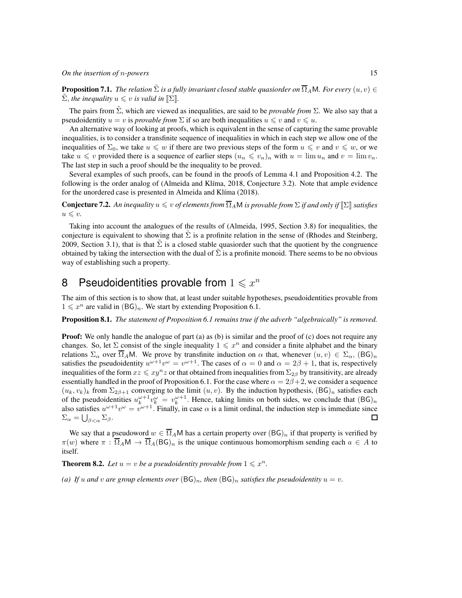**Proposition 7.1.** *The relation*  $\tilde{\Sigma}$  *is a fully invariant closed stable quasiorder on*  $\overline{\Omega}_A$ *M. For every*  $(u, v) \in$  $\sum$ , *the inequality*  $u \leq v$  *is valid in*  $\llbracket \Sigma \rrbracket$ *.* 

The pairs from  $\tilde{\Sigma}$ , which are viewed as inequalities, are said to be *provable from*  $\Sigma$ . We also say that a pseudoidentity  $u = v$  is *provable from*  $\Sigma$  if so are both inequalities  $u \leq v$  and  $v \leq u$ .

An alternative way of looking at proofs, which is equivalent in the sense of capturing the same provable inequalities, is to consider a transfinite sequence of inequalities in which in each step we allow one of the inequalities of  $\Sigma_0$ , we take  $u \leq w$  if there are two previous steps of the form  $u \leq v$  and  $v \leq w$ , or we take  $u \leq v$  provided there is a sequence of earlier steps  $(u_n \leq v_n)_n$  with  $u = \lim u_n$  and  $v = \lim v_n$ . The last step in such a proof should be the inequality to be proved.

Several examples of such proofs, can be found in the proofs of Lemma 4.1 and Proposition 4.2. The following is the order analog of (Almeida and Klíma, 2018, Conjecture 3.2). Note that ample evidence for the unordered case is presented in Almeida and Klíma (2018).

**Conjecture 7.2.** An inequality  $u \leq v$  of elements from  $\overline{\Omega}_A M$  is provable from  $\Sigma$  if and only if  $[\Sigma]$  satisfies  $u \leqslant v$ .

Taking into account the analogues of the results of (Almeida, 1995, Section 3.8) for inequalities, the conjecture is equivalent to showing that  $\Sigma$  is a profinite relation in the sense of (Rhodes and Steinberg, 2009, Section 3.1), that is that  $\Sigma$  is a closed stable quasiorder such that the quotient by the congruence obtained by taking the intersection with the dual of  $\Sigma$  is a profinite monoid. There seems to be no obvious way of establishing such a property.

# 8 Pseudoidentities provable from  $1 \leqslant x^n$

The aim of this section is to show that, at least under suitable hypotheses, pseudoidentities provable from  $1 \leqslant x^n$  are valid in  $(BG)_n$ . We start by extending Proposition 6.1.

Proposition 8.1. *The statement of Proposition 6.1 remains true if the adverb "algebraically" is removed.*

**Proof:** We only handle the analogue of part (a) as (b) is similar and the proof of (c) does not require any changes. So, let  $\Sigma$  consist of the single inequality  $1 \leq x^n$  and consider a finite alphabet and the binary relations  $\Sigma_{\alpha}$  over  $\overline{\Omega}_A$ M. We prove by transfinite induction on  $\alpha$  that, whenever  $(u, v) \in \Sigma_{\alpha}$ ,  $(\overline{BG})_n$ satisfies the pseudoidentity  $u^{\omega+1}v^{\omega} = v^{\omega+1}$ . The cases of  $\alpha = 0$  and  $\alpha = 2\beta + 1$ , that is, respectively inequalities of the form  $xz \leq xy^n z$  or that obtained from inequalities from  $\Sigma_{2\beta}$  by transitivity, are already essentially handled in the proof of Proposition 6.1. For the case where  $\alpha = 2\beta + 2$ , we consider a sequence  $(u_k, v_k)_k$  from  $\Sigma_{2\beta+1}$  converging to the limit  $(u, v)$ . By the induction hypothesis,  $(BG)_n$  satisfies each of the pseudoidentities  $u_k^{\omega+1}v_k^{\omega} = v_k^{\omega+1}$ . Hence, taking limits on both sides, we conclude that  $(BG)_n$ also satisfies  $u^{\omega+1}v^{\omega} = v^{\omega+1}$ . Finally, in case  $\alpha$  is a limit ordinal, the induction step is immediate since  $\Sigma_{\alpha} = \bigcup_{\beta < \alpha} \Sigma_{\beta}.$  $\Box$ 

We say that a pseudoword  $w \in \overline{\Omega}_A M$  has a certain property over  $(BG)_n$  if that property is verified by  $\pi(w)$  where  $\pi : \overline{\Omega}_A \mathsf{M} \to \overline{\Omega}_A(\mathsf{BG})_n$  is the unique continuous homomorphism sending each  $a \in A$  to itself.

**Theorem 8.2.** Let  $u = v$  be a pseudoidentity provable from  $1 \leq x^n$ .

*(a)* If u and v are group elements over  $(BG)_n$ , then  $(BG)_n$  *satisfies the pseudoidentity*  $u = v$ .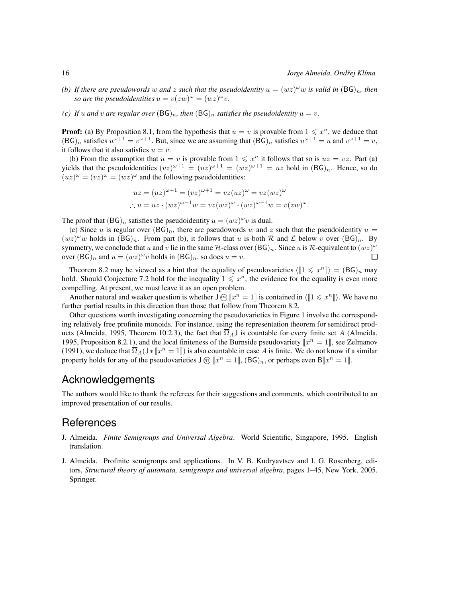.

- *(b)* If there are pseudowords w and z such that the pseudoidentity  $u = (wz)^\omega w$  is valid in  $(BG)_n$ , then *so are the pseudoidentities*  $u = v(zw)^\omega = (wz)^\omega v$ .
- *(c)* If u and v are regular over  $(BG)_n$ , then  $(BG)_n$  satisfies the pseudoidentity  $u = v$ .

**Proof:** (a) By Proposition 8.1, from the hypothesis that  $u = v$  is provable from  $1 \leq x^n$ , we deduce that  $(BG)_n$  satisfies  $u^{\omega+1} = v^{\omega+1}$ . But, since we are assuming that  $(BG)_n$  satisfies  $u^{\omega+1} = u$  and  $v^{\omega+1} = v$ , it follows that it also satisfies  $u = v$ .

(b) From the assumption that  $u = v$  is provable from  $1 \leq x^n$  it follows that so is  $uz = vz$ . Part (a) yields that the pseudoidentities  $(vz)^{\omega+1} = (uz)^{\omega+1} = (wz)^{\omega+1} = uz$  hold in  $(BG)_n$ . Hence, so do  $(uz)^{\omega} = (vz)^{\omega} = (wz)^{\omega}$  and the following pseudoidentities:

$$
uz = (uz)^{\omega+1} = (vz)^{\omega+1} = vz(uz)^{\omega} = vz(wz)^{\omega}
$$
  
\n
$$
\therefore u = uz \cdot (wz)^{\omega-1}w = vz(wz)^{\omega} \cdot (wz)^{\omega-1}w = v(zw)^{\omega}
$$

The proof that  $(BG)_n$  satisfies the pseudoidentity  $u = (wz)^\omega v$  is dual.

(c) Since u is regular over  $(BG)<sub>n</sub>$ , there are pseudowords w and z such that the pseudoidentity  $u =$  $(wz)^{\omega}w$  holds in  $(BG)<sub>n</sub>$ . From part (b), it follows that u is both R and L below v over  $(BG)<sub>n</sub>$ . By symmetry, we conclude that u and v lie in the same H-class over  $(BG)_n$ . Since u is R-equivalent to  $(wz)^{\omega}$ over  $(BG)_n$  and  $u = (wz)^\omega v$  holds in  $(BG)_n$ , so does  $u = v$ . □

Theorem 8.2 may be viewed as a hint that the equality of pseudovarieties  $\langle [1 \leq x^n] \rangle = (BG)_n$  may hold. Should Conjecture 7.2 hold for the inequality  $1 \leq x^n$ , the evidence for the equality is even more compelling. At present, we must leave it as an open problem.

Another natural and weaker question is whether  $\overline{J}(\widehat{m})$   $\llbracket x^n = 1 \rrbracket$  is contained in  $\langle \llbracket 1 \leq x^n \rrbracket \rangle$ . We have no further partial results in this direction than those that follow from Theorem 8.2.

Other questions worth investigating concerning the pseudovarieties in Figure 1 involve the corresponding relatively free profinite monoids. For instance, using the representation theorem for semidirect products (Almeida, 1995, Theorem 10.2.3), the fact that  $\overline{\Omega}_A$  is countable for every finite set A (Almeida, 1995, Proposition 8.2.1), and the local finiteness of the Burnside pseudovariety  $\llbracket x^n = 1 \rrbracket$ , see Zelmanov (1991), we deduce that  $\overline{\Omega}_A(\mathsf{J} * [\![x^n = 1]\!])$  is also countable in case A is finite. We do not know if a similar property holds for any of the pseudovarieties  $\mathsf{J} \circledcirc [x^n = 1]$ ,  $(\mathsf{B} \mathsf{G})_n$ , or perhaps even  $\mathsf{B} [x^n = 1]$ .

#### Acknowledgements

The authors would like to thank the referees for their suggestions and comments, which contributed to an improved presentation of our results.

#### References

- J. Almeida. *Finite Semigroups and Universal Algebra*. World Scientific, Singapore, 1995. English translation.
- J. Almeida. Profinite semigroups and applications. In V. B. Kudryavtsev and I. G. Rosenberg, editors, *Structural theory of automata, semigroups and universal algebra*, pages 1–45, New York, 2005. Springer.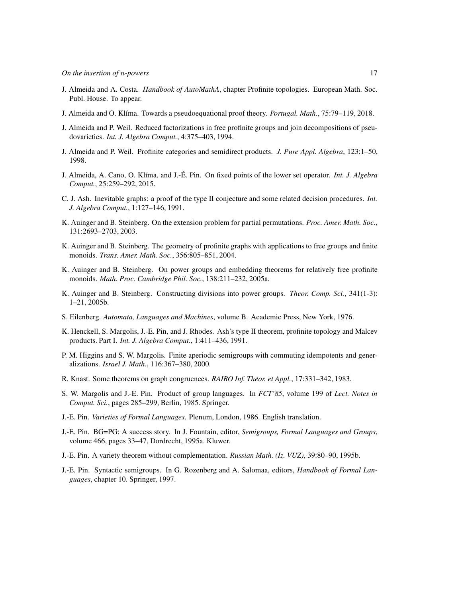- J. Almeida and A. Costa. *Handbook of AutoMathA*, chapter Profinite topologies. European Math. Soc. Publ. House. To appear.
- J. Almeida and O. Kl´ıma. Towards a pseudoequational proof theory. *Portugal. Math.*, 75:79–119, 2018.
- J. Almeida and P. Weil. Reduced factorizations in free profinite groups and join decompositions of pseudovarieties. *Int. J. Algebra Comput.*, 4:375–403, 1994.
- J. Almeida and P. Weil. Profinite categories and semidirect products. *J. Pure Appl. Algebra*, 123:1–50, 1998.
- J. Almeida, A. Cano, O. Kl´ıma, and J.-E. Pin. On fixed points of the lower set operator. ´ *Int. J. Algebra Comput.*, 25:259–292, 2015.
- C. J. Ash. Inevitable graphs: a proof of the type II conjecture and some related decision procedures. *Int. J. Algebra Comput.*, 1:127–146, 1991.
- K. Auinger and B. Steinberg. On the extension problem for partial permutations. *Proc. Amer. Math. Soc.*, 131:2693–2703, 2003.
- K. Auinger and B. Steinberg. The geometry of profinite graphs with applications to free groups and finite monoids. *Trans. Amer. Math. Soc.*, 356:805–851, 2004.
- K. Auinger and B. Steinberg. On power groups and embedding theorems for relatively free profinite monoids. *Math. Proc. Cambridge Phil. Soc.*, 138:211–232, 2005a.
- K. Auinger and B. Steinberg. Constructing divisions into power groups. *Theor. Comp. Sci.*, 341(1-3): 1–21, 2005b.
- S. Eilenberg. *Automata, Languages and Machines*, volume B. Academic Press, New York, 1976.
- K. Henckell, S. Margolis, J.-E. Pin, and J. Rhodes. Ash's type II theorem, profinite topology and Malcev products. Part I. *Int. J. Algebra Comput.*, 1:411–436, 1991.
- P. M. Higgins and S. W. Margolis. Finite aperiodic semigroups with commuting idempotents and generalizations. *Israel J. Math.*, 116:367–380, 2000.
- R. Knast. Some theorems on graph congruences. *RAIRO Inf. Theor. et Appl. ´* , 17:331–342, 1983.
- S. W. Margolis and J.-E. Pin. Product of group languages. In *FCT'85*, volume 199 of *Lect. Notes in Comput. Sci.*, pages 285–299, Berlin, 1985. Springer.
- J.-E. Pin. *Varieties of Formal Languages*. Plenum, London, 1986. English translation.
- J.-E. Pin. BG=PG: A success story. In J. Fountain, editor, *Semigroups, Formal Languages and Groups*, volume 466, pages 33–47, Dordrecht, 1995a. Kluwer.
- J.-E. Pin. A variety theorem without complementation. *Russian Math. (Iz. VUZ)*, 39:80–90, 1995b.
- J.-E. Pin. Syntactic semigroups. In G. Rozenberg and A. Salomaa, editors, *Handbook of Formal Languages*, chapter 10. Springer, 1997.